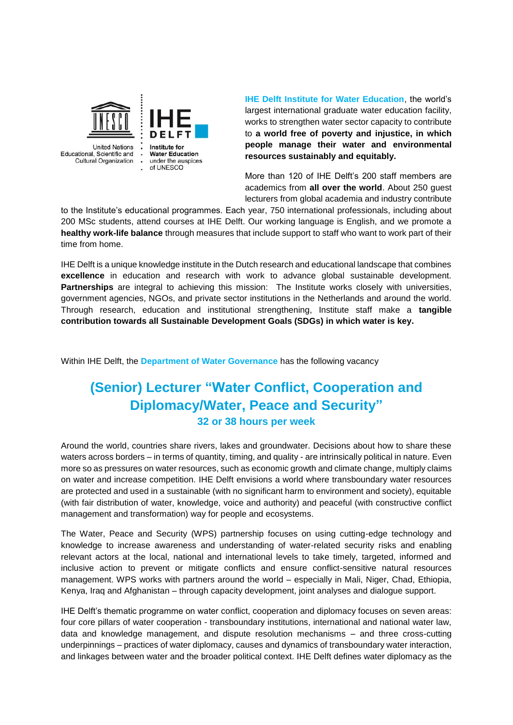

Educational, Scientific and **Cultural Organization** 

Institute for **Water Education** under the auspices of UNESCO

**IHE Delft Institute for Water Education**, the world's largest international graduate water education facility, works to strengthen water sector capacity to contribute to **a world free of poverty and injustice, in which people manage their water and environmental resources sustainably and equitably.**

More than 120 of IHE Delft's 200 staff members are academics from **all over the world**. About 250 guest lecturers from global academia and industry contribute

to the Institute's educational programmes. Each year, 750 international professionals, including about 200 MSc students, attend courses at IHE Delft. Our working language is English, and we promote a **healthy work-life balance** through measures that include support to staff who want to work part of their time from home.

IHE Delft is a unique knowledge institute in the Dutch research and educational landscape that combines **excellence** in education and research with work to advance global sustainable development. **Partnerships** are integral to achieving this mission: The Institute works closely with universities, government agencies, NGOs, and private sector institutions in the Netherlands and around the world. Through research, education and institutional strengthening, Institute staff make a **tangible contribution towards all Sustainable Development Goals (SDGs) in which water is key.** 

Within IHE Delft, the **Department of Water Governance** has the following vacancy

# **(Senior) Lecturer "Water Conflict, Cooperation and Diplomacy/Water, Peace and Security" 32 or 38 hours per week**

Around the world, countries share rivers, lakes and groundwater. Decisions about how to share these waters across borders – in terms of quantity, timing, and quality - are intrinsically political in nature. Even more so as pressures on water resources, such as economic growth and climate change, multiply claims on water and increase competition. IHE Delft envisions a world where transboundary water resources are protected and used in a sustainable (with no significant harm to environment and society), equitable (with fair distribution of water, knowledge, voice and authority) and peaceful (with constructive conflict management and transformation) way for people and ecosystems.

The Water, Peace and Security (WPS) partnership focuses on using cutting-edge technology and knowledge to increase awareness and understanding of water-related security risks and enabling relevant actors at the local, national and international levels to take timely, targeted, informed and inclusive action to prevent or mitigate conflicts and ensure conflict-sensitive natural resources management. WPS works with partners around the world – especially in Mali, Niger, Chad, Ethiopia, Kenya, Iraq and Afghanistan – through capacity development, joint analyses and dialogue support.

IHE Delft's thematic programme on water conflict, cooperation and diplomacy focuses on seven areas: four core pillars of water cooperation - transboundary institutions, international and national water law, data and knowledge management, and dispute resolution mechanisms – and three cross-cutting underpinnings – practices of water diplomacy, causes and dynamics of transboundary water interaction, and linkages between water and the broader political context. IHE Delft defines water diplomacy as the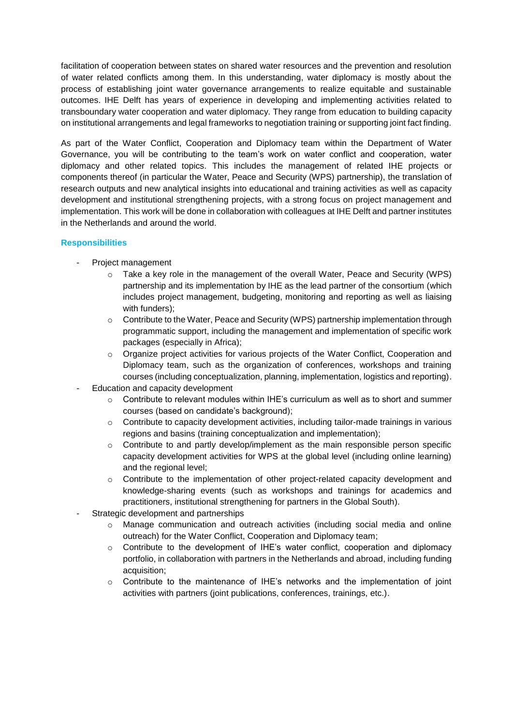facilitation of cooperation between states on shared water resources and the prevention and resolution of water related conflicts among them. In this understanding, water diplomacy is mostly about the process of establishing joint water governance arrangements to realize equitable and sustainable outcomes. IHE Delft has years of experience in developing and implementing activities related to transboundary water cooperation and water diplomacy. They range from education to building capacity on institutional arrangements and legal frameworks to negotiation training or supporting joint fact finding.

As part of the Water Conflict, Cooperation and Diplomacy team within the Department of Water Governance, you will be contributing to the team's work on water conflict and cooperation, water diplomacy and other related topics. This includes the management of related IHE projects or components thereof (in particular the Water, Peace and Security (WPS) partnership), the translation of research outputs and new analytical insights into educational and training activities as well as capacity development and institutional strengthening projects, with a strong focus on project management and implementation. This work will be done in collaboration with colleagues at IHE Delft and partner institutes in the Netherlands and around the world.

### **Responsibilities**

- Project management
	- $\circ$  Take a key role in the management of the overall Water, Peace and Security (WPS) partnership and its implementation by IHE as the lead partner of the consortium (which includes project management, budgeting, monitoring and reporting as well as liaising with funders);
	- $\circ$  Contribute to the Water, Peace and Security (WPS) partnership implementation through programmatic support, including the management and implementation of specific work packages (especially in Africa);
	- $\circ$  Organize project activities for various projects of the Water Conflict, Cooperation and Diplomacy team, such as the organization of conferences, workshops and training courses (including conceptualization, planning, implementation, logistics and reporting).
- Education and capacity development
	- $\circ$  Contribute to relevant modules within IHE's curriculum as well as to short and summer courses (based on candidate's background);
	- $\circ$  Contribute to capacity development activities, including tailor-made trainings in various regions and basins (training conceptualization and implementation);
	- o Contribute to and partly develop/implement as the main responsible person specific capacity development activities for WPS at the global level (including online learning) and the regional level;
	- o Contribute to the implementation of other project-related capacity development and knowledge-sharing events (such as workshops and trainings for academics and practitioners, institutional strengthening for partners in the Global South).
- Strategic development and partnerships
	- $\circ$  Manage communication and outreach activities (including social media and online outreach) for the Water Conflict, Cooperation and Diplomacy team;
	- $\circ$  Contribute to the development of IHE's water conflict, cooperation and diplomacy portfolio, in collaboration with partners in the Netherlands and abroad, including funding acquisition;
	- $\circ$  Contribute to the maintenance of IHE's networks and the implementation of joint activities with partners (joint publications, conferences, trainings, etc.).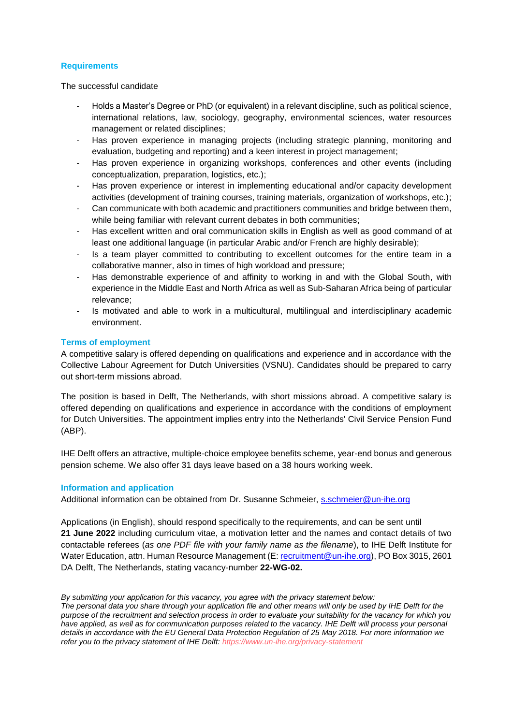### **Requirements**

The successful candidate

- Holds a Master's Degree or PhD (or equivalent) in a relevant discipline, such as political science, international relations, law, sociology, geography, environmental sciences, water resources management or related disciplines;
- Has proven experience in managing projects (including strategic planning, monitoring and evaluation, budgeting and reporting) and a keen interest in project management;
- Has proven experience in organizing workshops, conferences and other events (including conceptualization, preparation, logistics, etc.);
- Has proven experience or interest in implementing educational and/or capacity development activities (development of training courses, training materials, organization of workshops, etc.);
- Can communicate with both academic and practitioners communities and bridge between them, while being familiar with relevant current debates in both communities;
- Has excellent written and oral communication skills in English as well as good command of at least one additional language (in particular Arabic and/or French are highly desirable);
- Is a team player committed to contributing to excellent outcomes for the entire team in a collaborative manner, also in times of high workload and pressure;
- Has demonstrable experience of and affinity to working in and with the Global South, with experience in the Middle East and North Africa as well as Sub-Saharan Africa being of particular relevance;
- Is motivated and able to work in a multicultural, multilingual and interdisciplinary academic environment.

## **Terms of employment**

A competitive salary is offered depending on qualifications and experience and in accordance with the Collective Labour Agreement for Dutch Universities (VSNU). Candidates should be prepared to carry out short-term missions abroad.

The position is based in Delft, The Netherlands, with short missions abroad. A competitive salary is offered depending on qualifications and experience in accordance with the conditions of employment for Dutch Universities. The appointment implies entry into the Netherlands' Civil Service Pension Fund (ABP).

IHE Delft offers an attractive, multiple-choice employee benefits scheme, year-end bonus and generous pension scheme. We also offer 31 days leave based on a 38 hours working week.

## **Information and application**

Additional information can be obtained from Dr. Susanne Schmeier, [s.schmeier@un-ihe](mailto:s.schmeier@un-ihe.org)*.*org

Applications (in English), should respond specifically to the requirements, and can be sent until **21 June 2022** including curriculum vitae, a motivation letter and the names and contact details of two contactable referees (*as one PDF file with your family name as the filename*), to IHE Delft Institute for Water Education, attn. Human Resource Management (E[: recruitment@un-ihe.org\)](mailto:recruitment@un-ihe.org), PO Box 3015, 2601 DA Delft, The Netherlands, stating vacancy-number **22-WG-02.**

*By submitting your application for this vacancy, you agree with the privacy statement below:* 

*The personal data you share through your application file and other means will only be used by IHE Delft for the purpose of the recruitment and selection process in order to evaluate your suitability for the vacancy for which you have applied, as well as for communication purposes related to the vacancy. IHE Delft will process your personal details in accordance with the EU General Data Protection Regulation of 25 May 2018. For more information we refer you to the privacy statement of IHE Delft: https://www.un-ihe.org/privacy-statement*